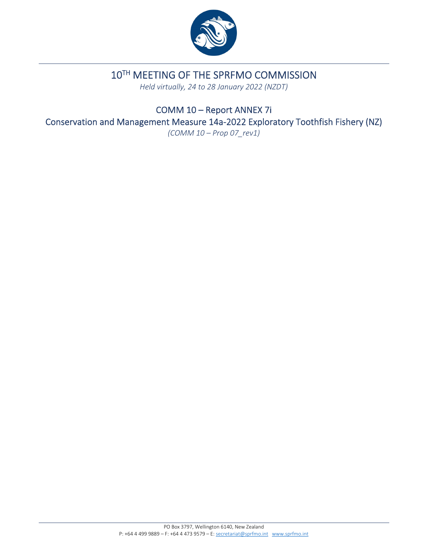

# 10TH MEETING OF THE SPRFMO COMMISSION

*Held virtually, 24 to 28 January 2022 (NZDT)*

COMM 10 – Report ANNEX 7i Conservation and Management Measure 14a‐2022 Exploratory Toothfish Fishery (NZ)

*(COMM 10 – Prop 07\_rev1)*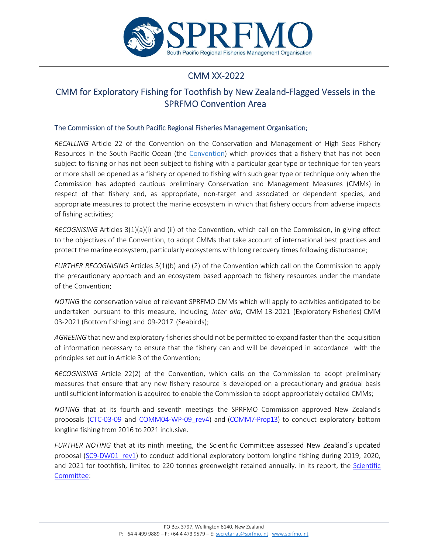

# CMM XX‐2022

# CMM for Exploratory Fishing for Toothfish by New Zealand‐Flagged Vessels in the SPRFMO Convention Area

## The Commission of the South Pacific Regional Fisheries Management Organisation;

*RECALLING* Article 22 of the Convention on the Conservation and Management of High Seas Fishery Resources in the South Pacific Ocean (the Convention) which provides that a fishery that has not been subject to fishing or has not been subject to fishing with a particular gear type or technique for ten years or more shall be opened as a fishery or opened to fishing with such gear type or technique only when the Commission has adopted cautious preliminary Conservation and Management Measures (CMMs) in respect of that fishery and, as appropriate, non-target and associated or dependent species, and appropriate measures to protect the marine ecosystem in which that fishery occurs from adverse impacts of fishing activities;

*RECOGNISING* Articles 3(1)(a)(i) and (ii) of the Convention, which call on the Commission, in giving effect to the objectives of the Convention, to adopt CMMs that take account of international best practices and protect the marine ecosystem, particularly ecosystems with long recovery times following disturbance;

*FURTHER RECOGNISING* Articles 3(1)(b) and (2) of the Convention which call on the Commission to apply the precautionary approach and an ecosystem based approach to fishery resources under the mandate of the Convention;

*NOTING* the conservation value of relevant SPRFMO CMMs which will apply to activities anticipated to be undertaken pursuant to this measure, including, *inter alia*, CMM 13‐2021 (Exploratory Fisheries) CMM 03‐2021 (Bottom fishing) and 09‐2017 (Seabirds);

AGREEING that new and exploratory fisheries should not be permitted to expand faster than the acquisition of information necessary to ensure that the fishery can and will be developed in accordance with the principles set out in Article 3 of the Convention;

*RECOGNISING* Article 22(2) of the Convention, which calls on the Commission to adopt preliminary measures that ensure that any new fishery resource is developed on a precautionary and gradual basis until sufficient information is acquired to enable the Commission to adopt appropriately detailed CMMs;

*NOTING* that at its fourth and seventh meetings the SPRFMO Commission approved New Zealand's proposals (CTC-03-09 and COMM04-WP-09 rev4) and (COMM7-Prop13) to conduct exploratory bottom longline fishing from 2016 to 2021 inclusive.

*FURTHER NOTING* that at its ninth meeting, the Scientific Committee assessed New Zealand's updated proposal (SC9-DW01 rev1) to conduct additional exploratory bottom longline fishing during 2019, 2020, and 2021 for toothfish, limited to 220 tonnes greenweight retained annually. In its report, the Scientific Committee: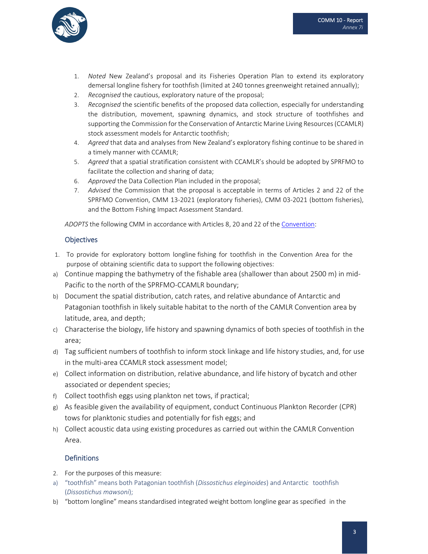

- 1. *Noted* New Zealand's proposal and its Fisheries Operation Plan to extend its exploratory demersal longline fishery for toothfish (limited at 240 tonnes greenweight retained annually);
- 2. *Recognised* the cautious, exploratory nature of the proposal;
- 3. *Recognised* the scientific benefits of the proposed data collection, especially for understanding the distribution, movement, spawning dynamics, and stock structure of toothfishes and supporting the Commission for the Conservation of Antarctic Marine Living Resources(CCAMLR) stock assessment models for Antarctic toothfish;
- 4. *Agreed* that data and analyses from New Zealand's exploratory fishing continue to be shared in a timely manner with CCAMLR;
- 5. *Agreed* that a spatial stratification consistent with CCAMLR's should be adopted by SPRFMO to facilitate the collection and sharing of data;
- 6. *Approved* the Data Collection Plan included in the proposal;
- 7. *Advised* the Commission that the proposal is acceptable in terms of Articles 2 and 22 of the SPRFMO Convention, CMM 13‐2021 (exploratory fisheries), CMM 03‐2021 (bottom fisheries), and the Bottom Fishing Impact Assessment Standard.

*ADOPTS* the following CMM in accordance with Articles 8, 20 and 22 of the Convention:

## **Objectives**

- 1. To provide for exploratory bottom longline fishing for toothfish in the Convention Area for the purpose of obtaining scientific data to support the following objectives:
- a) Continue mapping the bathymetry of the fishable area (shallower than about 2500 m) in mid-Pacific to the north of the SPRFMO‐CCAMLR boundary;
- b) Document the spatial distribution, catch rates, and relative abundance of Antarctic and Patagonian toothfish in likely suitable habitat to the north of the CAMLR Convention area by latitude, area, and depth;
- c) Characterise the biology, life history and spawning dynamics of both species of toothfish in the area;
- d) Tag sufficient numbers of toothfish to inform stock linkage and life history studies, and, for use in the multi-area CCAMLR stock assessment model;
- e) Collect information on distribution, relative abundance, and life history of bycatch and other associated or dependent species;
- f) Collect toothfish eggs using plankton net tows, if practical;
- g) As feasible given the availability of equipment, conduct Continuous Plankton Recorder (CPR) tows for planktonic studies and potentially for fish eggs; and
- h) Collect acoustic data using existing procedures as carried out within the CAMLR Convention Area.

# **Definitions**

- 2. For the purposes of this measure:
- a) "toothfish" means both Patagonian toothfish (*Dissostichus eleginoides*) and Antarctic toothfish (*Dissostichus mawsoni*);
- b) "bottom longline" means standardised integrated weight bottom longline gear as specified in the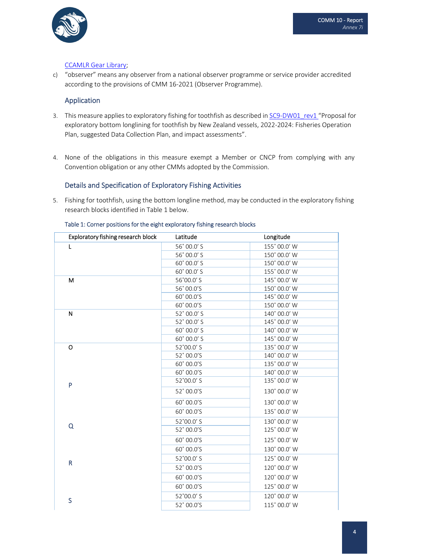

## CCAMLR Gear Library;

c) "observer" means any observer from a national observer programme or service provider accredited according to the provisions of CMM 16‐2021 (Observer Programme).

## Application

- 3. This measure applies to exploratory fishing for toothfish as described in SC9-DW01\_rev1 "Proposal for exploratory bottom longlining for toothfish by New Zealand vessels, 2022-2024: Fisheries Operation Plan, suggested Data Collection Plan, and impact assessments".
- 4. None of the obligations in this measure exempt a Member or CNCP from complying with any Convention obligation or any other CMMs adopted by the Commission.

## Details and Specification of Exploratory Fishing Activities

5. Fishing for toothfish, using the bottom longline method, may be conducted in the exploratory fishing research blocks identified in Table 1 below.

| Exploratory fishing research block | Latitude    | Longitude    |
|------------------------------------|-------------|--------------|
| L                                  | 56° 00.0' S | 155° 00.0' W |
|                                    | 56° 00.0' S | 150° 00.0' W |
|                                    | 60° 00.0' S | 150° 00.0' W |
|                                    | 60° 00.0' S | 155° 00.0' W |
| M                                  | 56°00.0'S   | 145° 00.0' W |
|                                    | 56° 00.0'S  | 150° 00.0' W |
|                                    | 60° 00.0'S  | 145° 00.0' W |
|                                    | 60° 00.0'S  | 150° 00.0' W |
| N                                  | 52° 00.0' S | 140° 00.0' W |
|                                    | 52° 00.0' S | 145° 00.0' W |
|                                    | 60° 00.0' S | 140° 00.0' W |
|                                    | 60° 00.0' S | 145° 00.0' W |
| o<br>P                             | 52°00.0' S  | 135° 00.0' W |
|                                    | 52° 00.0'S  | 140° 00.0' W |
|                                    | 60° 00.0'S  | 135° 00.0' W |
|                                    | 60° 00.0'S  | 140° 00.0' W |
|                                    | 52°00.0' S  | 135° 00.0' W |
|                                    | 52° 00.0'S  | 130° 00.0' W |
|                                    | 60° 00.0'S  | 130° 00.0' W |
|                                    | 60° 00.0'S  | 135° 00.0' W |
| Q                                  | 52°00.0' S  | 130° 00.0' W |
|                                    | 52° 00.0'S  | 125° 00.0' W |
|                                    | 60° 00.0'S  | 125° 00.0' W |
|                                    | 60° 00.0'S  | 130° 00.0' W |
| R                                  | 52°00.0' S  | 125° 00.0' W |
|                                    | 52° 00.0'S  | 120° 00.0' W |
|                                    | 60° 00.0'S  | 120° 00.0' W |
|                                    | 60° 00.0'S  | 125° 00.0' W |
| S                                  | 52°00.0' S  | 120° 00.0' W |
|                                    | 52° 00.0'S  | 115° 00.0' W |

#### Table 1: Corner positions for the eight exploratory fishing research blocks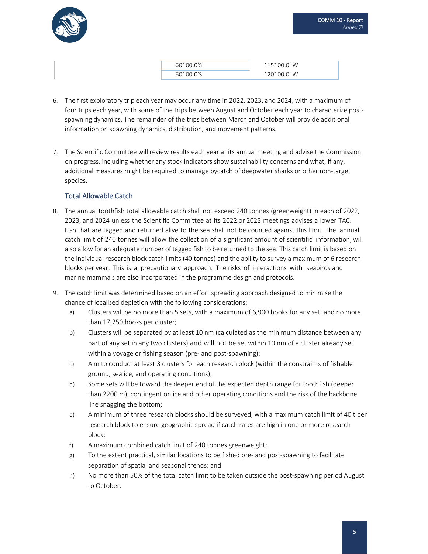

| $60^{\circ}$ 00.0'S | 115°00.0' W           |
|---------------------|-----------------------|
| 60° 00.0'S          | $120^{\circ}$ 00.0' W |

- 6. The first exploratory trip each year may occur any time in 2022, 2023, and 2024, with a maximum of four trips each year, with some of the trips between August and October each year to characterize postspawning dynamics. The remainder of the trips between March and October will provide additional information on spawning dynamics, distribution, and movement patterns.
- 7. The Scientific Committee will review results each year at its annual meeting and advise the Commission on progress, including whether any stock indicators show sustainability concerns and what, if any, additional measures might be required to manage bycatch of deepwater sharks or other non‐target species.

# Total Allowable Catch

- 8. The annual toothfish total allowable catch shall not exceed 240 tonnes (greenweight) in each of 2022, 2023, and 2024 unless the Scientific Committee at its 2022 or 2023 meetings advises a lower TAC. Fish that are tagged and returned alive to the sea shall not be counted against this limit. The annual catch limit of 240 tonnes will allow the collection of a significant amount of scientific information, will also allowfor an adequate number of tagged fish to be returned to the sea. This catch limit is based on the individual research block catch limits (40 tonnes) and the ability to survey a maximum of 6 research blocks per year. This is a precautionary approach. The risks of interactions with seabirds and marine mammals are also incorporated in the programme design and protocols.
- 9. The catch limit was determined based on an effort spreading approach designed to minimise the chance of localised depletion with the following considerations:
	- a) Clusters will be no more than 5 sets, with a maximum of 6,900 hooks for any set, and no more than 17,250 hooks per cluster;
	- b) Clusters will be separated by at least 10 nm (calculated as the minimum distance between any part of any set in any two clusters) and will not be set within 10 nm of a cluster already set within a voyage or fishing season (pre- and post-spawning);
	- c) Aim to conduct at least 3 clusters for each research block (within the constraints of fishable ground, sea ice, and operating conditions);
	- d) Some sets will be toward the deeper end of the expected depth range for toothfish (deeper than 2200 m), contingent on ice and other operating conditions and the risk of the backbone line snagging the bottom;
	- e) A minimum of three research blocks should be surveyed, with a maximum catch limit of 40 t per research block to ensure geographic spread if catch rates are high in one or more research block;
	- f) A maximum combined catch limit of 240 tonnes greenweight;
	- g) To the extent practical, similar locations to be fished pre‐ and post‐spawning to facilitate separation of spatial and seasonal trends; and
	- h) No more than 50% of the total catch limit to be taken outside the post-spawning period August to October.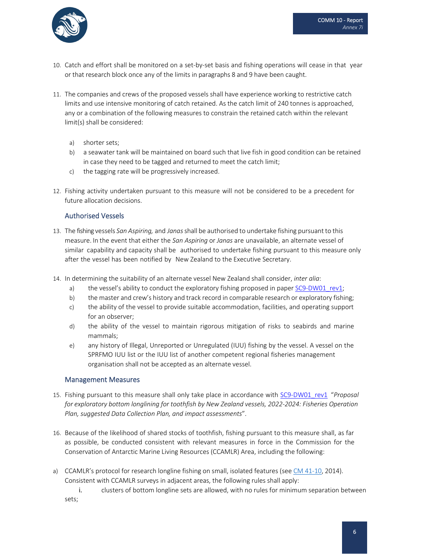

- 10. Catch and effort shall be monitored on a set‐by‐set basis and fishing operations will cease in that year or that research block once any of the limits in paragraphs 8 and 9 have been caught.
- 11. The companies and crews of the proposed vessels shall have experience working to restrictive catch limits and use intensive monitoring of catch retained. As the catch limit of 240 tonnes is approached, any or a combination of the following measures to constrain the retained catch within the relevant limit(s) shall be considered:
	- a) shorter sets;
	- b) a seawater tank will be maintained on board such that live fish in good condition can be retained in case they need to be tagged and returned to meet the catch limit;
	- c) the tagging rate will be progressively increased.
- 12. Fishing activity undertaken pursuant to this measure will not be considered to be a precedent for future allocation decisions.

## Authorised Vessels

- 13. The fishing vessels *San Aspiring,* and *Janas*shall be authorised to undertake fishing pursuant to this measure. In the event that either the *San Aspiring* or *Janas* are unavailable, an alternate vessel of similar capability and capacity shall be authorised to undertake fishing pursuant to this measure only after the vessel has been notified by New Zealand to the Executive Secretary.
- 14. In determining the suitability of an alternate vessel New Zealand shall consider, *inter alia*:
	- a) the vessel's ability to conduct the exploratory fishing proposed in paper SC9-DW01 rev1;
	- b) the master and crew's history and track record in comparable research or exploratory fishing;
	- c) the ability of the vessel to provide suitable accommodation, facilities, and operating support for an observer;
	- d) the ability of the vessel to maintain rigorous mitigation of risks to seabirds and marine mammals;
	- e) any history of Illegal, Unreported or Unregulated (IUU) fishing by the vessel. A vessel on the SPRFMO IUU list or the IUU list of another competent regional fisheries management organisation shall not be accepted as an alternate vessel.

## Management Measures

- 15. Fishing pursuant to this measure shall only take place in accordance with SC9‐DW01\_rev1 "*Proposal for exploratory bottom longlining for toothfish by New Zealand vessels, 2022‐2024: Fisheries Operation Plan, suggested Data Collection Plan, and impact assessments*".
- 16. Because of the likelihood of shared stocks of toothfish, fishing pursuant to this measure shall, as far as possible, be conducted consistent with relevant measures in force in the Commission for the Conservation of Antarctic Marine Living Resources (CCAMLR) Area, including the following:
- a) CCAMLR's protocol for research longline fishing on small, isolated features (see CM 41‐10, 2014). Consistent with CCAMLR surveys in adjacent areas, the following rules shall apply:

i. clusters of bottom longline sets are allowed, with no rules for minimum separation between sets;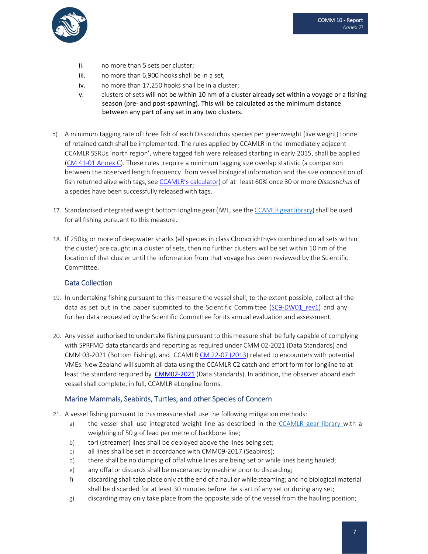

- ii. no more than 5 sets per cluster;
- iii. no more than 6,900 hooks shall be in a set;
- iv. no more than 17,250 hooks shall be in a cluster;
- v. clusters of sets will not be within 10 nm of a cluster already set within a voyage or a fishing season (pre- and post-spawning). This will be calculated as the minimum distance between any part of any set in any two clusters.
- b) A minimum tagging rate of three fish of each Dissostichus species per greenweight (live weight) tonne of retained catch shall be implemented. The rules applied by CCAMLR in the immediately adjacent CCAMLR SSRUs 'north region', where tagged fish were released starting in early 2015, shall be applied (CM 41‐01 Annex C). These rules require a minimum tagging size overlap statistic (a comparison between the observed length frequency from vessel biological information and the size composition of fish returned alive with tags, see CCAMLR's calculator) of at least 60% once 30 or more *Dissostichus* of a species have been successfully released with tags.
- 17. Standardised integrated weight bottom longline gear (IWL, see the CCAMLR gear library) shall be used for all fishing pursuant to this measure.
- 18. If 250kg or more of deepwater sharks (all species in class Chondrichthyes combined on all sets within the cluster) are caught in a cluster of sets, then no further clusters will be set within 10 nm of the location of that cluster until the information from that voyage has been reviewed by the Scientific Committee.

## Data Collection

- 19. In undertaking fishing pursuant to this measure the vessel shall, to the extent possible, collect all the data as set out in the paper submitted to the Scientific Committee (SC9-DW01 rev1) and any further data requested by the Scientific Committee for its annual evaluation and assessment.
- 20. Any vessel authorised to undertake fishing pursuant to this measure shall be fully capable of complying with SPRFMO data standards and reporting as required under CMM 02‐2021 (Data Standards) and CMM 03‐2021 (Bottom Fishing), and CCAMLR CM 22‐07 (2013) related to encounters with potential VMEs. New Zealand will submit all data using the CCAMLR C2 catch and effort form for longline to at least the standard required by CMM02-2021 (Data Standards). In addition, the observer aboard each vessel shall complete, in full, CCAMLR eLongline forms.

## Marine Mammals, Seabirds, Turtles, and other Species of Concern

- 21. A vessel fishing pursuant to this measure shall use the following mitigation methods:
	- a) the vessel shall use integrated weight line as described in the CCAMLR gear library with a weighting of 50 g of lead per metre of backbone line;
	- b) tori (streamer) lines shall be deployed above the lines being set;
	- c) all lines shall be set in accordance with CMM09‐2017 (Seabirds);
	- d) there shall be no dumping of offal while lines are being set or while lines being hauled;
	- e) any offal or discards shall be macerated by machine prior to discarding;
	- f) discarding shall take place only at the end of a haul or while steaming; and no biological material shall be discarded for at least 30 minutes before the start of any set or during any set;
	- g) discarding may only take place from the opposite side of the vessel from the hauling position;